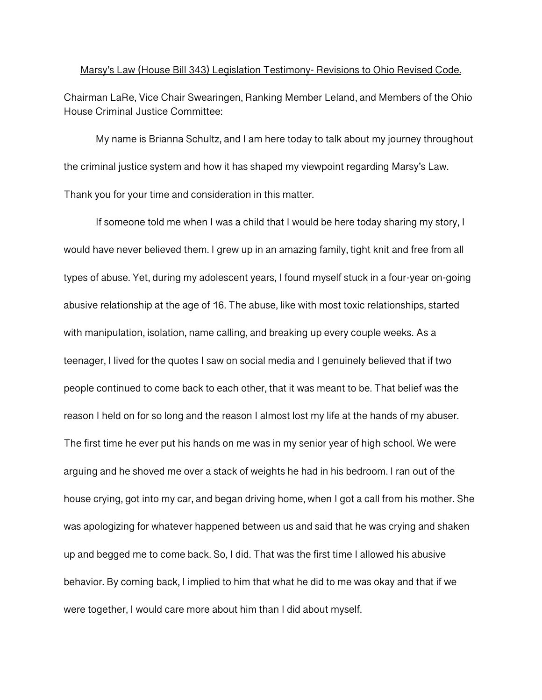Chairman LaRe, Vice Chair Swearingen, Ranking Member Leland, and Members of the Ohio House Criminal Justice Committee:

Marsy's Law (House Bill 343) Legislation Testimony- Revisions to Ohio Revised Code.

My name is Brianna Schultz, and I am here today to talk about my journey throughout the criminal justice system and how it has shaped my viewpoint regarding Marsy's Law. Thank you for your time and consideration in this matter.

If someone told me when I was a child that I would be here today sharing my story, I would have never believed them. I grew up in an amazing family, tight knit and free from all types of abuse. Yet, during my adolescent years, I found myself stuck in a four-year on-going abusive relationship at the age of 16. The abuse, like with most toxic relationships, started with manipulation, isolation, name calling, and breaking up every couple weeks. As a teenager, I lived for the quotes I saw on social media and I genuinely believed that if two people continued to come back to each other, that it was meant to be. That belief was the reason I held on for so long and the reason I almost lost my life at the hands of my abuser. The first time he ever put his hands on me was in my senior year of high school. We were arguing and he shoved me over a stack of weights he had in his bedroom. I ran out of the house crying, got into my car, and began driving home, when I got a call from his mother. She was apologizing for whatever happened between us and said that he was crying and shaken up and begged me to come back. So, I did. That was the first time I allowed his abusive behavior. By coming back, I implied to him that what he did to me was okay and that if we were together, I would care more about him than I did about myself.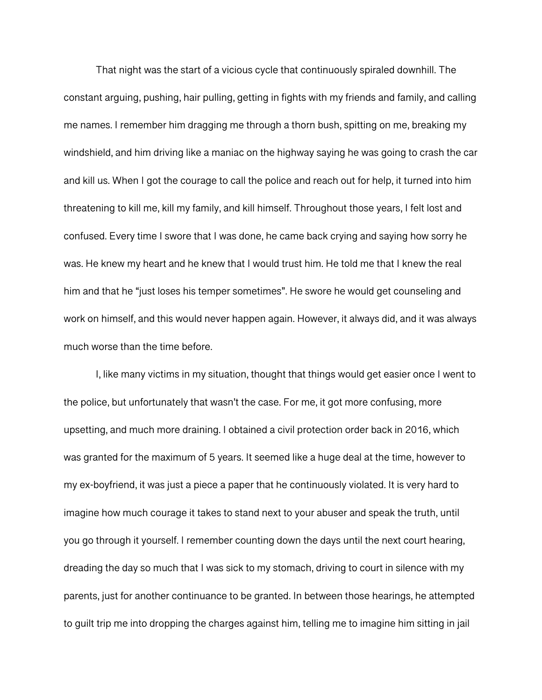That night was the start of a vicious cycle that continuously spiraled downhill. The constant arguing, pushing, hair pulling, getting in fights with my friends and family, and calling me names. I remember him dragging me through a thorn bush, spitting on me, breaking my windshield, and him driving like a maniac on the highway saying he was going to crash the car and kill us. When I got the courage to call the police and reach out for help, it turned into him threatening to kill me, kill my family, and kill himself. Throughout those years, I felt lost and confused. Every time I swore that I was done, he came back crying and saying how sorry he was. He knew my heart and he knew that I would trust him. He told me that I knew the real him and that he "just loses his temper sometimes". He swore he would get counseling and work on himself, and this would never happen again. However, it always did, and it was always much worse than the time before.

I, like many victims in my situation, thought that things would get easier once I went to the police, but unfortunately that wasn't the case. For me, it got more confusing, more upsetting, and much more draining. I obtained a civil protection order back in 2016, which was granted for the maximum of 5 years. It seemed like a huge deal at the time, however to my ex-boyfriend, it was just a piece a paper that he continuously violated. It is very hard to imagine how much courage it takes to stand next to your abuser and speak the truth, until you go through it yourself. I remember counting down the days until the next court hearing, dreading the day so much that I was sick to my stomach, driving to court in silence with my parents, just for another continuance to be granted. In between those hearings, he attempted to guilt trip me into dropping the charges against him, telling me to imagine him sitting in jail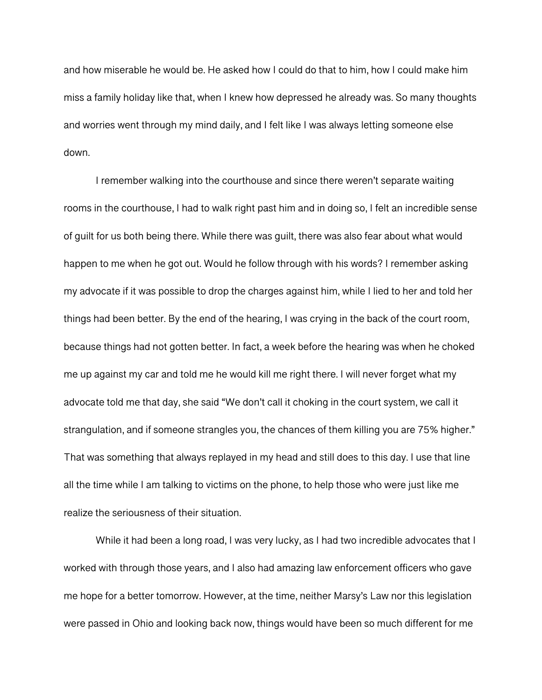and how miserable he would be. He asked how I could do that to him, how I could make him miss a family holiday like that, when I knew how depressed he already was. So many thoughts and worries went through my mind daily, and I felt like I was always letting someone else down.

I remember walking into the courthouse and since there weren't separate waiting rooms in the courthouse, I had to walk right past him and in doing so, I felt an incredible sense of guilt for us both being there. While there was guilt, there was also fear about what would happen to me when he got out. Would he follow through with his words? I remember asking my advocate if it was possible to drop the charges against him, while I lied to her and told her things had been better. By the end of the hearing, I was crying in the back of the court room, because things had not gotten better. In fact, a week before the hearing was when he choked me up against my car and told me he would kill me right there. I will never forget what my advocate told me that day, she said "We don't call it choking in the court system, we call it strangulation, and if someone strangles you, the chances of them killing you are 75% higher." That was something that always replayed in my head and still does to this day. I use that line all the time while I am talking to victims on the phone, to help those who were just like me realize the seriousness of their situation.

While it had been a long road, I was very lucky, as I had two incredible advocates that I worked with through those years, and I also had amazing law enforcement officers who gave me hope for a better tomorrow. However, at the time, neither Marsy's Law nor this legislation were passed in Ohio and looking back now, things would have been so much different for me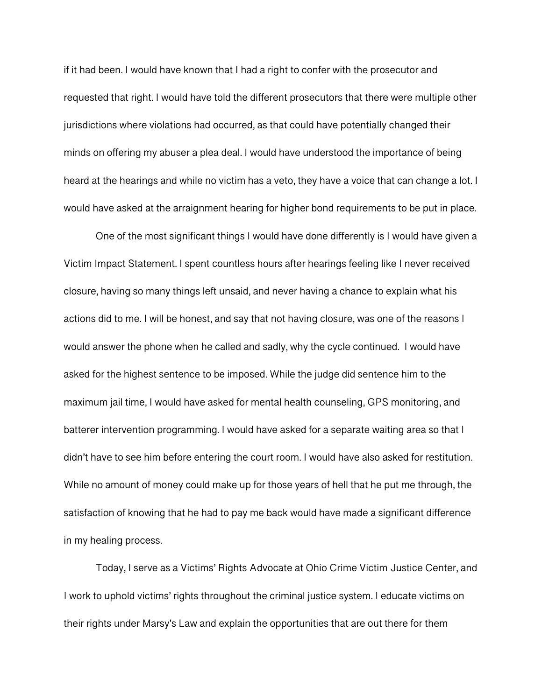if it had been. I would have known that I had a right to confer with the prosecutor and requested that right. I would have told the different prosecutors that there were multiple other jurisdictions where violations had occurred, as that could have potentially changed their minds on offering my abuser a plea deal. I would have understood the importance of being heard at the hearings and while no victim has a veto, they have a voice that can change a lot. I would have asked at the arraignment hearing for higher bond requirements to be put in place.

One of the most significant things I would have done differently is I would have given a Victim Impact Statement. I spent countless hours after hearings feeling like I never received closure, having so many things left unsaid, and never having a chance to explain what his actions did to me. I will be honest, and say that not having closure, was one of the reasons I would answer the phone when he called and sadly, why the cycle continued. I would have asked for the highest sentence to be imposed. While the judge did sentence him to the maximum jail time, I would have asked for mental health counseling, GPS monitoring, and batterer intervention programming. I would have asked for a separate waiting area so that I didn't have to see him before entering the court room. I would have also asked for restitution. While no amount of money could make up for those years of hell that he put me through, the satisfaction of knowing that he had to pay me back would have made a significant difference in my healing process.

Today, I serve as a Victims' Rights Advocate at Ohio Crime Victim Justice Center, and I work to uphold victims' rights throughout the criminal justice system. I educate victims on their rights under Marsy's Law and explain the opportunities that are out there for them